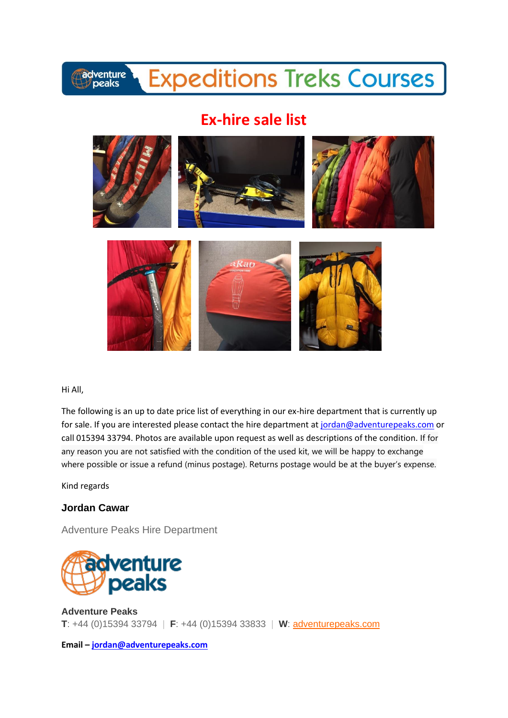## adventure<br>*peaks*

# **Expeditions Treks Courses**

## **Ex-hire sale list**



#### Hi All,

The following is an up to date price list of everything in our ex-hire department that is currently up for sale. If you are interested please contact the hire department at [jordan@adventurepeaks.com](mailto:jordan@adventurepeaks.com) or call 015394 33794. Photos are available upon request as well as descriptions of the condition. If for any reason you are not satisfied with the condition of the used kit, we will be happy to exchange where possible or issue a refund (minus postage). Returns postage would be at the buyer's expense.

Kind regards

### **Jordan Cawar**

Adventure Peaks Hire Department



**Adventure Peaks T**: +44 (0)15394 33794 | **F**: +44 (0)15394 33833 | **W**: [adventurepeaks.com](http://www.adventurepeaks.com/)

**Email – [jordan@adventurepeaks.com](mailto:jordan@adventurepeaks.com)**